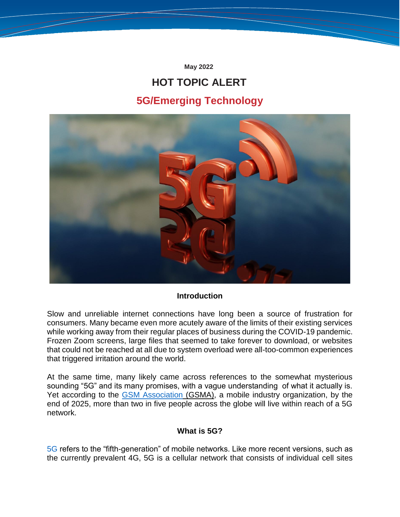**May 2022**

# **HOT TOPIC ALERT 5G/Emerging Technology**



#### **Introduction**

Slow and unreliable internet connections have long been a source of frustration for consumers. Many became even more acutely aware of the limits of their existing services while working away from their regular places of business during the COVID-19 pandemic. Frozen Zoom screens, large files that seemed to take forever to download, or websites that could not be reached at all due to system overload were all-too-common experiences that triggered irritation around the world.

At the same time, many likely came across references to the somewhat mysterious sounding "5G" and its many promises, with a vague understanding of what it actually is. Yet according to the [GSM Association](https://www.gsma.com/mobileeconomy/wp-content/uploads/2022/02/280222-The-Mobile-Economy-2022.pdf) (GSMA), a mobile industry organization, by the end of 2025, more than two in five people across the globe will live within reach of a 5G network.

# **What is 5G?**

[5G](https://www.techtarget.com/searchnetworking/definition/5G) refers to the "fifth-generation" of mobile networks. Like more recent versions, such as the currently prevalent 4G, 5G is a cellular network that consists of individual cell sites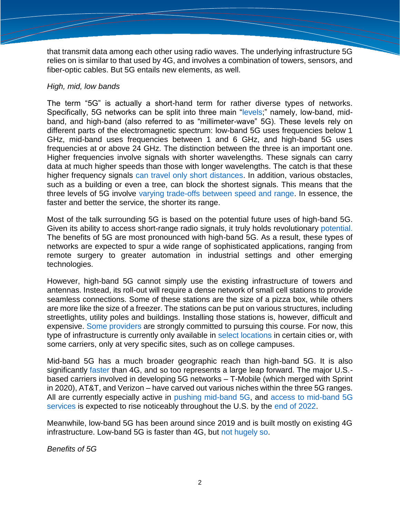that transmit data among each other using radio waves. The underlying infrastructure 5G relies on is similar to that used by 4G, and involves a combination of towers, sensors, and fiber-optic cables. But 5G entails new elements, as well.

### *High, mid, low bands*

The term "5G" is actually a short-hand term for rather diverse types of networks. Specifically, 5G networks can be split into three main ["levels;](https://www.wired.com/story/wired-guide-5g/)" namely, low-band, midband, and high-band (also referred to as "millimeter-wave" 5G). These levels rely on different parts of the electromagnetic spectrum: low-band 5G uses frequencies below 1 GHz, mid-band uses frequencies between 1 and 6 GHz, and high-band 5G uses frequencies at or above 24 GHz. The distinction between the three is an important one. Higher frequencies involve signals with shorter wavelengths. These signals can carry data at much higher speeds than those with longer wavelengths. The catch is that these higher frequency signals [can travel only short distances.](https://www.wired.com/story/wired-guide-5g/) In addition, various obstacles, such as a building or even a tree, can block the shortest signals. This means that the three levels of 5G involve [varying trade-offs between speed and range.](https://venturebeat.com/2019/12/10/the-definitive-guide-to-5g-low-mid-and-high-band-speeds/) In essence, the faster and better the service, the shorter its range.

Most of the talk surrounding 5G is based on the potential future uses of high-band 5G. Given its ability to access short-range radio signals, it truly holds revolutionary [potential.](https://www.ibm.com/industries/telecom-media-entertainment/resources/5g-revolution/) The benefits of 5G are most pronounced with high-band 5G. As a result, these types of networks are expected to spur a wide range of sophisticated applications, ranging from remote surgery to greater automation in industrial settings and other emerging technologies.

However, high-band 5G cannot simply use the existing infrastructure of towers and antennas. Instead, its roll-out will require a dense network of small cell stations to provide seamless connections. Some of these stations are the size of a pizza box, while others are more like the size of a freezer. The stations can be put on various structures, including streetlights, utility poles and buildings. Installing those stations is, however, difficult and expensive. [Some providers](https://www.techtarget.com/searchnetworking/answer/What-is-the-status-of-5G-rollouts-in-2020) are strongly committed to pursuing this course. For now, this type of infrastructure is currently only available in [select locations](https://uk.pcmag.com/cell-phone-service-providers/82400/what-is-5g) in certain cities or, with some carriers, only at very specific sites, such as on college campuses.

Mid-band 5G has a much broader geographic reach than high-band 5G. It is also significantly [faster](https://www.highspeedinternet.com/resources/4g-vs-5g) than 4G, and so too represents a large leap forward. The major U.S. based carriers involved in developing 5G networks – T-Mobile (which merged with Sprint in 2020), AT&T, and Verizon – have carved out various niches within the three 5G ranges. All are currently especially active in [pushing mid-band 5G,](https://www.techtarget.com/searchnetworking/answer/What-is-the-status-of-5G-rollouts-in-2020) and [access to mid-band 5G](https://www.forbes.com/sites/moorinsights/2022/01/18/the-state-of-5g-in-early-2022/?sh=30ecbfc45652)  [services](https://www.forbes.com/sites/moorinsights/2022/01/18/the-state-of-5g-in-early-2022/?sh=30ecbfc45652) is expected to rise noticeably throughout the U.S. by the [end of 2022.](https://www.fiercewireless.com/wireless/verizon-expects-cover-175m-ultra-wideband-5g-end-2022)

Meanwhile, low-band 5G has been around since 2019 and is built mostly on existing 4G infrastructure. Low-band 5G is faster than 4G, but [not hugely so.](https://www.computerworld.com/article/3638752/5g-is-coming-just-not-that-fast.html)

*Benefits of 5G*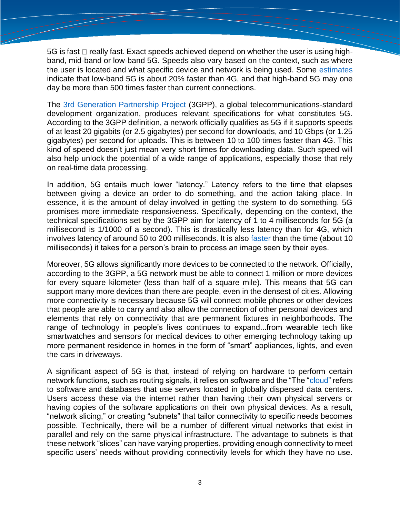5G is fast  $\Box$  really fast. Exact speeds achieved depend on whether the user is using highband, mid-band or low-band 5G. Speeds also vary based on the context, such as where the user is located and what specific device and network is being used. Some [estimates](https://kommandotech.com/guides/4g-vs-5g-speed/) indicate that low-band 5G is about 20% faster than 4G, and that high-band 5G may one day be more than 500 times faster than current connections.

The [3rd Generation Partnership Project](https://www.3gpp.org/about-3gpp/about-3gpp) (3GPP), a global telecommunications-standard development organization, produces relevant specifications for what constitutes 5G. According to the 3GPP definition, a network officially qualifies as 5G if it supports speeds of at least 20 gigabits (or 2.5 gigabytes) per second for downloads, and 10 Gbps (or 1.25 gigabytes) per second for uploads. This is between 10 to 100 times faster than 4G. This kind of speed doesn't just mean very short times for downloading data. Such speed will also help unlock the potential of a wide range of applications, especially those that rely on real-time data processing.

In addition, 5G entails much lower "latency." Latency refers to the time that elapses between giving a device an order to do something, and the action taking place. In essence, it is the amount of delay involved in getting the system to do something. 5G promises more immediate responsiveness. Specifically, depending on the context, the technical specifications set by the 3GPP aim for latency of 1 to 4 milliseconds for 5G (a millisecond is 1/1000 of a second). This is drastically less latency than for 4G, which involves latency of around 50 to 200 milliseconds. It is also [faster](https://www.digitaltrends.com/mobile/5g-vs-4g/) than the time (about 10 milliseconds) it takes for a person's brain to process an image seen by their eyes.

Moreover, 5G allows significantly more devices to be connected to the network. Officially, according to the 3GPP, a 5G network must be able to connect 1 million or more devices for every square kilometer (less than half of a square mile). This means that 5G can support many more devices than there are people, even in the densest of cities. Allowing more connectivity is necessary because 5G will connect mobile phones or other devices that people are able to carry and also allow the connection of other personal devices and elements that rely on connectivity that are permanent fixtures in neighborhoods. The range of technology in people's lives continues to expand...from wearable tech like smartwatches and sensors for medical devices to other emerging technology taking up more permanent residence in homes in the form of "smart" appliances, lights, and even the cars in driveways.

A significant aspect of 5G is that, instead of relying on hardware to perform certain network functions, such as routing signals, it relies on software and the "The ["cloud"](https://www.cloudflare.com/learning/cloud/what-is-the-cloud/) refers to software and databases that use servers located in globally dispersed data centers. Users access these via the internet rather than having their own physical servers or having copies of the software applications on their own physical devices. As a result, "network slicing," or creating "subnets" that tailor connectivity to specific needs becomes possible. Technically, there will be a number of different virtual networks that exist in parallel and rely on the same physical infrastructure. The advantage to subnets is that these network "slices" can have varying properties, providing enough connectivity to meet specific users' needs without providing connectivity levels for which they have no use.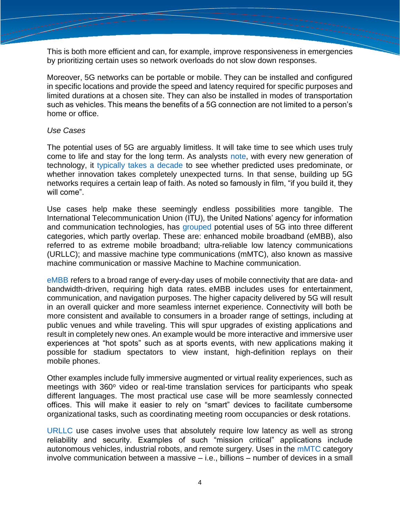This is both more efficient and can, for example, improve responsiveness in emergencies by prioritizing certain uses so network overloads do not slow down responses.

Moreover, 5G networks can be portable or mobile. They can be installed and configured in specific locations and provide the speed and latency required for specific purposes and limited durations at a chosen site. They can also be installed in modes of transportation such as vehicles. This means the benefits of a 5G connection are not limited to a person's home or office.

#### *Use Cases*

The potential uses of 5G are arguably limitless. It will take time to see which uses truly come to life and stay for the long term. As analysts [note,](https://www.polytechnique-insights.com/en/braincamps/digital/5g-6g/5g-more-than-a-new-generation-of-mobiles/) with every new generation of technology, it [typically takes a decade](https://uk.pcmag.com/cell-phone-service-providers/82400/what-is-5g) to see whether predicted uses predominate, or whether innovation takes completely unexpected turns. In that sense, building up 5G networks requires a certain leap of faith. As noted so famously in film, "if you build it, they will come".

Use cases help make these seemingly endless possibilities more tangible. The International Telecommunication Union (ITU), the United Nations' agency for information and communication technologies, has [grouped](https://www.itu.int/en/ITU-D/Documents/ITU_5G_REPORT-2018.pdf) potential uses of 5G into three different categories, which partly overlap. These are: enhanced mobile broadband (eMBB), also referred to as extreme mobile broadband; ultra-reliable low latency communications (URLLC); and massive machine type communications (mMTC), also known as massive machine communication or massive Machine to Machine communication.

[eMBB](https://rootmetrics.com/en-US/content/5g-faq-series-what-is-embb) refers to a broad range of every-day uses of mobile connectivity that are data- and bandwidth-driven, requiring high data rates. eMBB includes uses for entertainment, communication, and navigation purposes. The higher capacity delivered by 5G will result in an overall quicker and more seamless internet experience. Connectivity will both be more consistent and available to consumers in a broader range of settings, including at public venues and while traveling. This will spur upgrades of existing applications and result in completely new ones. An example would be more interactive and immersive user experiences at "hot spots" such as at sports events, with new applications making it possible for stadium spectators to view instant, high-definition replays on their mobile phones.

Other examples include fully immersive augmented or virtual reality experiences, such as meetings with 360° video or real-time translation services for participants who speak different languages. The most practical use case will be more seamlessly connected offices. This will make it easier to rely on "smart" devices to facilitate cumbersome organizational tasks, such as coordinating meeting room occupancies or desk rotations.

[URLLC](https://www.section.io/engineering-education/five-real-life-use-cases-of-5g-ultra-reliable-low-latency-communication-urllc/) use cases involve uses that absolutely require low latency as well as strong reliability and security. Examples of such "mission critical" applications include autonomous vehicles, industrial robots, and remote surgery. Uses in the [mMTC](https://www.researchgate.net/publication/305881263_Massive_Machine-type_Communications_in_5G_Physical_and_MAC-layer_solutions) category involve communication between a massive – i.e., billions – number of devices in a small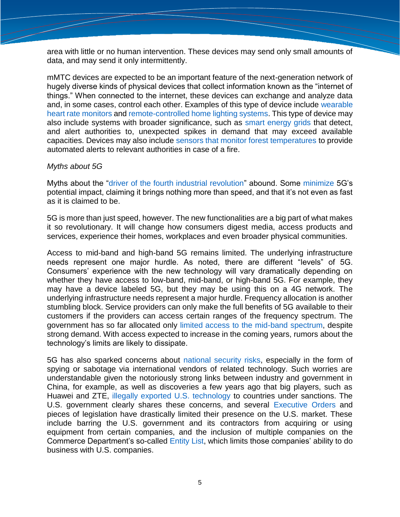area with little or no human intervention. These devices may send only small amounts of data, and may send it only intermittently.

mMTC devices are expected to be an important feature of the next-generation network of hugely diverse kinds of physical devices that collect information known as the "internet of things." When connected to the internet, these devices can exchange and analyze data and, in some cases, control each other. Examples of this type of device include [wearable](https://www.health.harvard.edu/heart-health/how-accurate-are-wearable-heart-rate-monitors)  [heart rate monitors](https://www.health.harvard.edu/heart-health/how-accurate-are-wearable-heart-rate-monitors) and [remote-controlled home lighting systems.](https://www.hgtv.com/design/remodel/mechanical-systems/remote-controlled-lighting) This type of device may also include systems with broader significance, such as [smart energy grids](https://www.smartgrid.gov/the_smart_grid/smart_grid.html) that detect, and alert authorities to, unexpected spikes in demand that may exceed available capacities. Devices may also include [sensors that monitor forest temperatures](https://cdnsciencepub.com/doi/10.1139/cjfr-2020-0295) to provide automated alerts to relevant authorities in case of a fire.

#### *Myths about 5G*

Myths about the ["driver of the fourth industrial revolution"](https://www.gsma.com/spectrum/wp-content/uploads/2019/05/1-Isabelle-Mauro-Director-Head-of-Telecoms-Digital-Communications-Industry-WEF.pdf) abound. Some [minimize](https://www.zdnet.com/article/why-is-my-5g-so-slow-comparing-the-hype-to-the-reality/) 5G's potential impact, claiming it brings nothing more than speed, and that it's not even as fast as it is claimed to be.

5G is more than just speed, however. The new functionalities are a big part of what makes it so revolutionary. It will change how consumers digest media, access products and services, experience their homes, workplaces and even broader physical communities.

Access to mid-band and high-band 5G remains limited. The underlying infrastructure needs represent one major hurdle. As noted, there are different "levels" of 5G. Consumers' experience with the new technology will vary dramatically depending on whether they have access to low-band, mid-band, or high-band 5G. For example, they may have a device labeled 5G, but they may be using this on a 4G network. The underlying infrastructure needs represent a major hurdle. Frequency allocation is another stumbling block. Service providers can only make the full benefits of 5G available to their customers if the providers can access certain ranges of the frequency spectrum. The government has so far allocated only [limited access to the mid-band spectrum,](https://www.americanactionforum.org/insight/interagency-challenges-to-allocating-5g-spectrum/) despite strong demand. With access expected to increase in the coming years, rumors about the technology's limits are likely to dissipate.

5G has also sparked concerns about [national security risks,](https://sgp.fas.org/crs/natsec/IF11251.pdf) especially in the form of spying or sabotage via international vendors of related technology. Such worries are understandable given the notoriously strong links between industry and government in China, for example, as well as discoveries a few years ago that big players, such as Huawei and ZTE, [illegally exported U.S. technology](https://ofaclawyer.net/economic-sanctions-programs/china/zte-huawei/) to countries under sanctions. The U.S. government clearly shares these concerns, and several [Executive Orders](https://trumpwhitehouse.archives.gov/presidential-actions/executive-order-addressing-threat-posed-applications-software-developed-controlled-chinese-companies/) and pieces of legislation have drastically limited their presence on the U.S. market. These include barring the U.S. government and its contractors from acquiring or using equipment from certain companies, and the inclusion of multiple companies on the Commerce Department's so-called [Entity List,](https://www.bis.doc.gov/index.php/policy-guidance/lists-of-parties-of-concern/entity-list) which limits those companies' ability to do business with U.S. companies.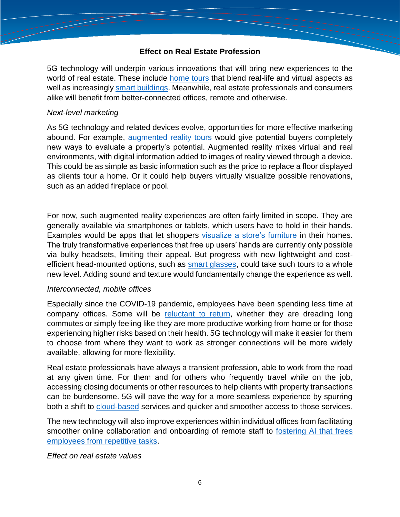# **Effect on Real Estate Profession**

5G technology will underpin various innovations that will bring new experiences to the world of real estate. These include [home tours](https://insights.samsung.com/2021/05/20/how-groopview-empowers-real-estate-agents-with-5g-powered-virtual-tours/) that blend real-life and virtual aspects as well as increasingly [smart buildings.](https://www.smartbuildingscenter.org/) Meanwhile, real estate professionals and consumers alike will benefit from better-connected offices, remote and otherwise.

#### *Next-level marketing*

As 5G technology and related devices evolve, opportunities for more effective marketing abound. For example, [augmented reality tours](https://render3dquick.com/real-estate-virtual-reality-tour) would give potential buyers completely new ways to evaluate a property's potential. Augmented reality mixes virtual and real environments, with digital information added to images of reality viewed through a device. This could be as simple as basic information such as the price to replace a floor displayed as clients tour a home. Or it could help buyers virtually visualize possible renovations, such as an added fireplace or pool.

For now, such augmented reality experiences are often fairly limited in scope. They are generally available via smartphones or tablets, which users have to hold in their hands. Examples would be apps that let shoppers [visualize a store's furniture](https://www.realsimple.com/home-organizing/decorating/augmented-reality-furniture-shopping-apps) in their homes. The truly transformative experiences that free up users' hands are currently only possible via bulky headsets, limiting their appeal. But progress with new lightweight and costefficient head-mounted options, such as [smart glasses,](https://www.allaboutvision.com/eyeglasses/smart-glasses/) could take such tours to a whole new level. Adding sound and texture would fundamentally change the experience as well.

#### *Interconnected, mobile offices*

Especially since the COVID-19 pandemic, employees have been spending less time at company offices. Some will be [reluctant to return,](https://www.forbes.com/sites/forbesbusinesscouncil/2022/01/25/how-organizations-can-accommodate-employees-reluctant-to-return-to-the-office/?sh=352c005057e6) whether they are dreading long commutes or simply feeling like they are more productive working from home or for those experiencing higher risks based on their health. 5G technology will make it easier for them to choose from where they want to work as stronger connections will be more widely available, allowing for more flexibility.

Real estate professionals have always a transient profession, able to work from the road at any given time. For them and for others who frequently travel while on the job, accessing closing documents or other resources to help clients with property transactions can be burdensome. 5G will pave the way for a more seamless experience by spurring both a shift to [cloud-based](https://www.verizon.com/business/resources/articles/s/the-remote-real-estate-agent-powered-by-5g/) services and quicker and smoother access to those services.

The new technology will also improve experiences within individual offices from facilitating smoother online collaboration and onboarding of remote staff to [fostering AI that frees](https://www.forbes.com/sites/forbesrealestatecouncil/2020/02/21/how-will-artificial-intelligence-change-the-commercial-real-estate-industry/?sh=7d14438324f8)  [employees from repetitive tasks.](https://www.forbes.com/sites/forbesrealestatecouncil/2020/02/21/how-will-artificial-intelligence-change-the-commercial-real-estate-industry/?sh=7d14438324f8)

# *Effect on real estate values*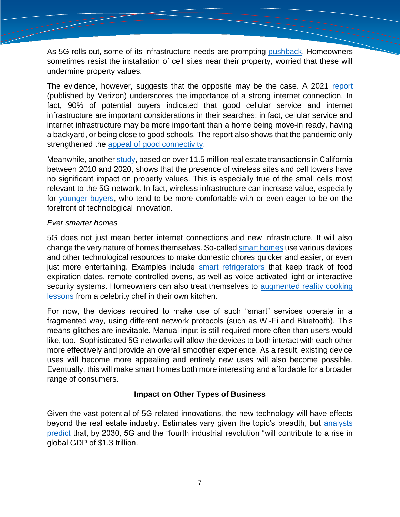As 5G rolls out, some of its infrastructure needs are prompting [pushback.](https://www.winknews.com/2022/03/21/5g-service-expansion-facing-pushback-in-naples/) Homeowners sometimes resist the installation of cell sites near their property, worried that these will undermine property values.

The evidence, however, suggests that the opposite may be the case. A 2021 [report](https://www.verizon.com/about/sites/default/files/2021-05/Homebuyers%20Internet_0.pdf) (published by Verizon) underscores the importance of a strong internet connection. In fact, 90% of potential buyers indicated that good cellular service and internet infrastructure are important considerations in their searches; in fact, cellular service and internet infrastructure may be more important than a home being move-in ready, having a backyard, or being close to good schools. The report also shows that the pandemic only strengthened the [appeal of good connectivity.](https://www.pewtrusts.org/en/research-and-analysis/articles/2020/11/30/how-much-broadband-speed-do-americans-need)

Meanwhile, another [study,](https://jointventure.org/images/stories/pdf/cell-real-estate-study-2021-07.pdf) based on over 11.5 million real estate transactions in California between 2010 and 2020, shows that the presence of wireless sites and cell towers have no significant impact on property values. This is especially true of the small cells most relevant to the 5G network. In fact, wireless infrastructure can increase value, especially for [younger buyers,](https://www.forbes.com/sites/donnafuscaldo/2018/09/26/home-buying-goes-high-tech-as-millennials-become-largest-real-estate-buyers/?sh=7b14316b7774) who tend to be more comfortable with or even eager to be on the forefront of technological innovation.

#### *Ever smarter homes*

5G does not just mean better internet connections and new infrastructure. It will also change the very nature of homes themselves. So-called [smart homes](https://www.investopedia.com/terms/s/smart-home.asp) use various devices and other technological resources to make domestic chores quicker and easier, or even just more entertaining. Examples include [smart refrigerators](https://www.tomsguide.com/us/what-is-a-smart-refrigerator,review-6307.html) that keep track of food expiration dates, remote-controlled ovens, as well as voice-activated light or interactive security systems. Homeowners can also treat themselves to augmented reality cooking [lessons](https://www.vodafone.de/giga-ar-en/index.html) from a celebrity chef in their own kitchen.

For now, the devices required to make use of such "smart" services operate in a fragmented way, using different network protocols (such as Wi-Fi and Bluetooth). This means glitches are inevitable. Manual input is still required more often than users would like, too. Sophisticated 5G networks will allow the devices to both interact with each other more effectively and provide an overall smoother experience. As a result, existing device uses will become more appealing and entirely new uses will also become possible. Eventually, this will make smart homes both more interesting and affordable for a broader range of consumers.

# **Impact on Other Types of Business**

Given the vast potential of 5G-related innovations, the new technology will have effects beyond the real estate industry. Estimates vary given the topic's breadth, but analysts [predict](https://www.pwc.com/gx/en/industries/technology/publications/economic-impact-5g.html) that, by 2030, 5G and the "fourth industrial revolution "will contribute to a rise in global GDP of \$1.3 trillion.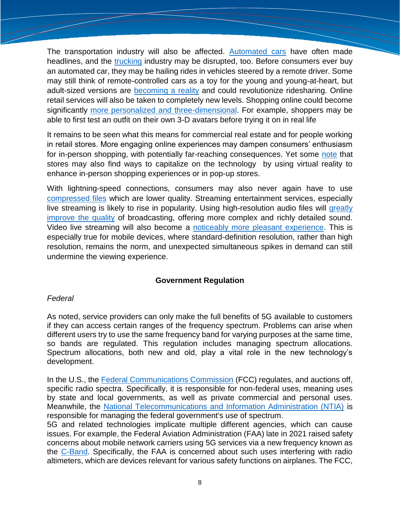The transportation industry will also be affected. [Automated cars](https://www.investopedia.com/articles/investing/052014/how-googles-selfdriving-car-will-change-everything.asp) have often made headlines, and the [trucking](https://thehill.com/changing-america/resilience/smart-cities/599442-self-driving-semis-may-revolutionize-trucking-and/) industry may be disrupted, too. Before consumers ever buy an automated car, they may be hailing rides in vehicles steered by a remote driver. Some may still think of remote-controlled cars as a toy for the young and young-at-heart, but adult-sized versions are [becoming a reality](https://getjerry.com/insights/halo-brings-remote-controlled-rideshare-service-las-vegas) and could revolutionize ridesharing. Online retail services will also be taken to completely new levels. Shopping online could become significantly [more personalized and three-dimensional.](https://www.forbes.com/sites/peterhigh/2016/03/14/the-use-of-avatars-will-dramatically-improve-digital-shopping-experience/?sh=3243ef231287) For example, shoppers may be able to first test an outfit on their own 3-D avatars before trying it on in real life

It remains to be seen what this means for commercial real estate and for people working in retail stores. More engaging online experiences may dampen consumers' enthusiasm for in-person shopping, with potentially far-reaching consequences. Yet some [note](https://www.forbes.com/sites/forbesbusinessdevelopmentcouncil/2020/02/07/retail-apocalypse-or-revolution-how-5g-will-change-how-we-shop/?sh=7121a5914db4) that stores may also find ways to capitalize on the technology by using virtual reality to enhance in-person shopping experiences or in [pop-up stores.](https://www.thestorefront.com/mag/what-exactly-is-a-pop-up-shop/)

With lightning-speed connections, consumers may also never again have to use [compressed files](https://www.soundguys.com/audio-compression-explained-29148/) which are lower quality. Streaming entertainment services, especially live streaming is likely to rise in popularity. Using high-resolution audio files will greatly [improve the quality](https://www.targetspot.com/posts/impact-5g-audio-digital-radio-podcast/) of broadcasting, offering more complex and richly detailed sound. Video live streaming will also become a [noticeably more pleasant experience.](https://www.muvi.com/blogs/how-5g-will-affect-the-video-streaming-industry.html) This is especially true for mobile devices, where standard-definition resolution, rather than high resolution, remains the norm, and unexpected simultaneous spikes in demand can still undermine the viewing experience.

# **Government Regulation**

# *Federal*

As noted, service providers can only make the full benefits of 5G available to customers if they can access certain ranges of the frequency spectrum. Problems can arise when different users try to use the same frequency band for varying purposes at the same time, so bands are regulated. This regulation includes managing spectrum allocations. Spectrum allocations, both new and old, play a vital role in the new technology's development.

In the U.S., the [Federal Communications Commission](https://www.fcc.gov/) (FCC) regulates, and auctions off, specific radio spectra. Specifically, it is responsible for non-federal uses, meaning uses by state and local governments, as well as private commercial and personal uses. Meanwhile, the [National Telecommunications and Information Administration \(NTIA\)](https://www.ntia.doc.gov/) is responsible for managing the federal government's use of spectrum.

5G and related technologies implicate multiple different agencies, which can cause issues. For example, the Federal Aviation Administration (FAA) late in 2021 raised safety concerns about mobile network carriers using 5G services via a new frequency known as the [C-Band.](https://www.cnn.com/2022/01/19/tech/c-band-5g-att-verizon-rollout/index.html) Specifically, the FAA is concerned about such uses interfering with radio altimeters, which are devices relevant for various safety functions on airplanes. The FCC,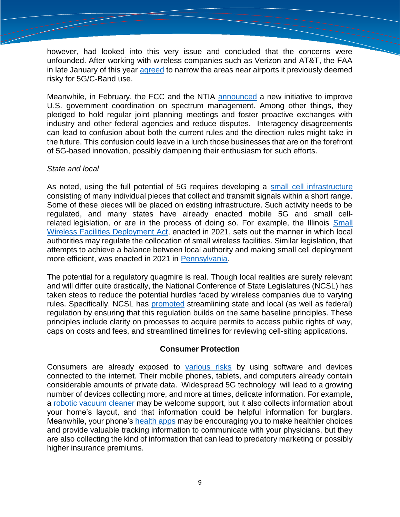however, had looked into this very issue and concluded that the concerns were unfounded. After working with wireless companies such as Verizon and AT&T, the FAA in late January of this year [agreed](https://www.faa.gov/newsroom/faa-statements-5g) to narrow the areas near airports it previously deemed risky for 5G/C-Band use.

Meanwhile, in February, the FCC and the NTIA [announced](https://www.ntia.doc.gov/press-release/2022/fcc-ntia-establish-spectrum-coordination-initiative) a new initiative to improve U.S. government coordination on spectrum management. Among other things, they pledged to hold regular joint planning meetings and foster proactive exchanges with industry and other federal agencies and reduce disputes. Interagency disagreements can lead to confusion about both the current rules and the direction rules might take in the future. This confusion could leave in a lurch those businesses that are on the forefront of 5G-based innovation, possibly dampening their enthusiasm for such efforts.

# *State and local*

As noted, using the full potential of 5G requires developing a [small cell infrastructure](https://www.telit.com/blog/5g-networks-guide-to-small-cell-technology/) consisting of many individual pieces that collect and transmit signals within a short range. Some of these pieces will be placed on existing infrastructure. Such activity needs to be regulated, and many states have already enacted mobile 5G and small cellrelated legislation, or are in the process of doing so. For example, the Illinois Small [Wireless Facilities Deployment Act,](https://www.ilga.gov/legislation/ilcs/ilcs3.asp?ActID=3920&ChapterID=11) enacted in 2021, sets out the manner in which local authorities may regulate the collocation of small wireless facilities. Similar legislation, that attempts to achieve a balance between local authority and making small cell deployment more efficient, was enacted in 2021 in [Pennsylvania.](https://www.pml.org/advocacy/small-wireless-facilities-deployment/)

The potential for a regulatory quagmire is real. Though local realities are surely relevant and will differ quite drastically, the National Conference of State Legislatures (NCSL) has taken steps to reduce the potential hurdles faced by wireless companies due to varying rules. Specifically, NCSL has [promoted](https://www.ncsl.org/research/telecommunications-and-information-technology/mobile-5g-and-small-cell-2021-legislation.aspx) streamlining state and local (as well as federal) regulation by ensuring that this regulation builds on the same baseline principles. These principles include clarity on processes to acquire permits to access public rights of way, caps on costs and fees, and streamlined timelines for reviewing cell-siting applications.

# **Consumer Protection**

Consumers are already exposed to [various risks](https://www.sciencedirect.com/science/article/pii/B9780128214428000094) by using software and devices connected to the internet. Their mobile phones, tablets, and computers already contain considerable amounts of private data. Widespread 5G technology will lead to a growing number of devices collecting more, and more at times, delicate information. For example, a [robotic vacuum cleaner](https://foundation.mozilla.org/en/privacynotincluded/ecovacs-deebot/#:~:text=Cameras%20on%20robot%20vacuums%20raise,conversations%2C%20even%20without%20a%20microphone.) may be welcome support, but it also collects information about your home's layout, and that information could be helpful information for burglars. Meanwhile, your phone's [health apps](https://hbr.org/2021/05/do-health-apps-really-make-us-healthier) may be encouraging you to make healthier choices and provide valuable tracking information to communicate with your physicians, but they are also collecting the kind of information that can lead to predatory marketing or possibly higher insurance premiums.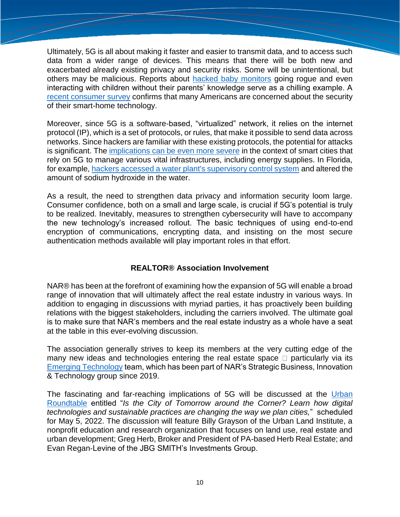Ultimately, 5G is all about making it faster and easier to transmit data, and to access such data from a wider range of devices. This means that there will be both new and exacerbated already existing privacy and security risks. Some will be unintentional, but others may be malicious. Reports about [hacked baby monitors](https://www.npr.org/sections/thetwo-way/2018/06/05/617196788/s-c-mom-says-baby-monitor-was-hacked-experts-say-many-devices-are-vulnerable?t=1650007864878) going rogue and even interacting with children without their parents' knowledge serve as a chilling example. A [recent consumer survey](https://magazine.realtor/daily-news/2022/02/11/privacy-concerns-rise-with-smart-home-tech-adoption) confirms that many Americans are concerned about the security of their smart-home technology.

Moreover, since 5G is a software-based, "virtualized" network, it relies on the internet protocol (IP), which is a set of protocols, or rules, that make it possible to send data across networks. Since hackers are familiar with these existing protocols, the potential for attacks is significant. The [implications can be even more severe](https://www.smartcitiesdive.com/news/the-smart-city-tech-most-at-risk-for-cyberattacks-report/597365/) in the context of smart cities that rely on 5G to manage various vital infrastructures, including energy supplies. In Florida, for example, [hackers accessed a water plant's supervisory control system](https://www.smartcitiesdive.com/news/water-supply-cyber-attack-tampa-florida-ics-security/594845/) and altered the amount of sodium hydroxide in the water.

As a result, the need to strengthen data privacy and information security loom large. Consumer confidence, both on a small and large scale, is crucial if 5G's potential is truly to be realized. Inevitably, measures to strengthen cybersecurity will have to accompany the new technology's increased rollout. The basic techniques of using end-to-end encryption of communications, encrypting data, and insisting on the most secure authentication methods available will play important roles in that effort.

# **REALTOR® Association Involvement**

NAR® has been at the forefront of examining how the expansion of 5G will enable a broad range of innovation that will ultimately affect the real estate industry in various ways. In addition to engaging in discussions with myriad parties, it has proactively been building relations with the biggest stakeholders, including the carriers involved. The ultimate goal is to make sure that NAR's members and the real estate industry as a whole have a seat at the table in this ever-evolving discussion.

The association generally strives to keep its members at the very cutting edge of the many new ideas and technologies entering the real estate space  $\Box$  particularly via its [Emerging Technology](https://www.nar.realtor/blogs/emerging-technology) team, which has been part of NAR's Strategic Business, Innovation & Technology group since 2019.

The fascinating and far-reaching implications of 5G will be discussed at the [Urban](https://legislative.realtor/event/urban-roundtable/)  [Roundtable](https://legislative.realtor/event/urban-roundtable/) entitled "*Is the City of Tomorrow around the Corner? Learn how digital technologies and sustainable practices are changing the way we plan cities,*" scheduled for May 5, 2022. The discussion will feature Billy Grayson of the Urban Land Institute, a nonprofit education and research organization that focuses on land use, real estate and urban development; Greg Herb, Broker and President of PA-based Herb Real Estate; and Evan Regan‐Levine of the JBG SMITH's Investments Group.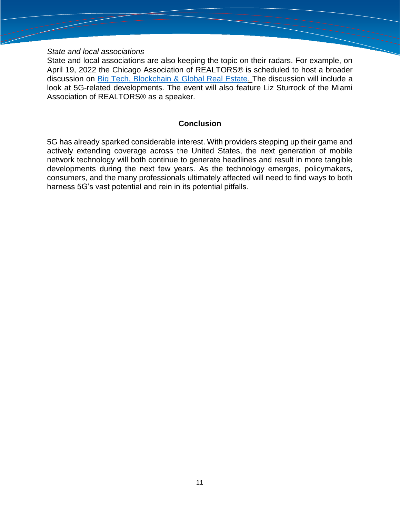#### *State and local associations*

State and local associations are also keeping the topic on their radars. For example, on April 19, 2022 the Chicago Association of REALTORS® is scheduled to host a broader discussion on [Big Tech, Blockchain & Global Real Estate.](https://chicagorealtor.com/event/big-tech-blockchain-global-real-estate/) The discussion will include a look at 5G-related developments. The event will also feature Liz Sturrock of the Miami Association of REALTORS® as a speaker.

#### **Conclusion**

5G has already sparked considerable interest. With providers stepping up their game and actively extending coverage across the United States, the next generation of mobile network technology will both continue to generate headlines and result in more tangible developments during the next few years. As the technology emerges, policymakers, consumers, and the many professionals ultimately affected will need to find ways to both harness 5G's vast potential and rein in its potential pitfalls.